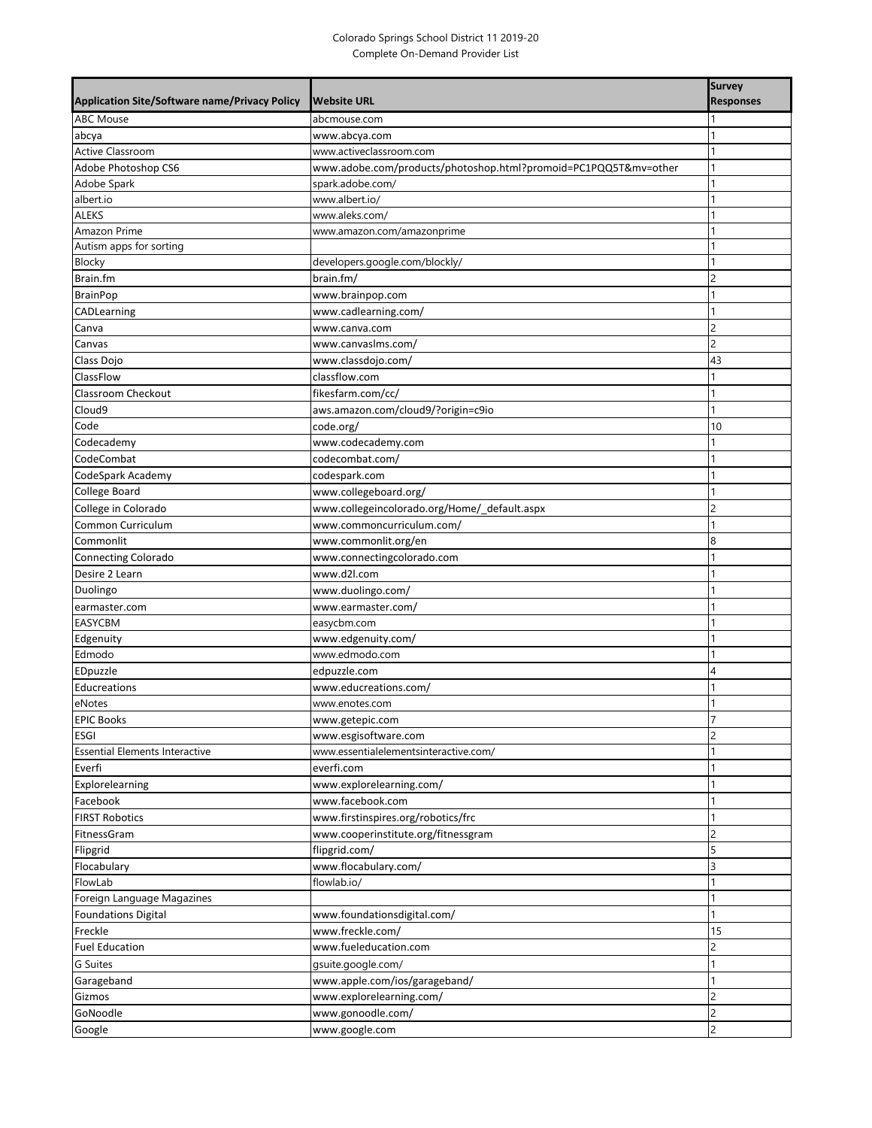## Colorado Springs School District 11 2019-20 Complete On-Demand Provider List

|                                                      |                                                                 | <b>Survey</b>    |
|------------------------------------------------------|-----------------------------------------------------------------|------------------|
| <b>Application Site/Software name/Privacy Policy</b> | <b>Website URL</b>                                              | <b>Responses</b> |
| <b>ABC Mouse</b>                                     | abcmouse.com                                                    |                  |
| abcya                                                | www.abcya.com                                                   |                  |
| <b>Active Classroom</b>                              | www.activeclassroom.com                                         |                  |
| Adobe Photoshop CS6                                  | www.adobe.com/products/photoshop.html?promoid=PC1PQQ5T&mv=other |                  |
| Adobe Spark                                          | spark.adobe.com/                                                |                  |
| albert.io                                            | www.albert.io/                                                  |                  |
| <b>ALEKS</b>                                         | www.aleks.com/                                                  | 1                |
| Amazon Prime                                         | www.amazon.com/amazonprime                                      |                  |
| Autism apps for sorting                              | developers.google.com/blockly/                                  |                  |
| Blocky<br>Brain.fm                                   | brain.fm/                                                       | 2                |
| <b>BrainPop</b>                                      |                                                                 |                  |
| CADLearning                                          | www.brainpop.com<br>www.cadlearning.com/                        | 1                |
| Canva                                                | www.canva.com                                                   | 2                |
| Canvas                                               | www.canvaslms.com/                                              | $\overline{c}$   |
| Class Dojo                                           | www.classdojo.com/                                              | 43               |
| ClassFlow                                            | classflow.com                                                   |                  |
| Classroom Checkout                                   | fikesfarm.com/cc/                                               |                  |
| Cloud9                                               | aws.amazon.com/cloud9/?origin=c9io                              |                  |
| Code                                                 | code.org/                                                       | 10               |
| Codecademy                                           | www.codecademy.com                                              |                  |
| CodeCombat                                           | codecombat.com/                                                 |                  |
| CodeSpark Academy                                    | codespark.com                                                   |                  |
| College Board                                        | www.collegeboard.org/                                           |                  |
| College in Colorado                                  | www.collegeincolorado.org/Home/_default.aspx                    | $\overline{c}$   |
| Common Curriculum                                    | www.commoncurriculum.com/                                       | 1                |
| Commonlit                                            | www.commonlit.org/en                                            | 8                |
| <b>Connecting Colorado</b>                           | www.connectingcolorado.com                                      |                  |
| Desire 2 Learn                                       | www.d2l.com                                                     | 1                |
| Duolingo                                             | www.duolingo.com/                                               |                  |
| earmaster.com                                        | www.earmaster.com/                                              |                  |
| <b>EASYCBM</b>                                       | easycbm.com                                                     |                  |
| Edgenuity                                            | www.edgenuity.com/                                              |                  |
| Edmodo                                               | www.edmodo.com                                                  | 1                |
| EDpuzzle                                             | edpuzzle.com                                                    | 4                |
| Educreations                                         | www.educreations.com/                                           |                  |
| eNotes                                               | www.enotes.com                                                  |                  |
| <b>EPIC Books</b>                                    | www.getepic.com                                                 | $\overline{7}$   |
| ESGI                                                 | www.esgisoftware.com                                            | 2                |
| <b>Essential Elements Interactive</b>                | www.essentialelementsinteractive.com/                           |                  |
| Everfi                                               | everfi.com                                                      |                  |
| Explorelearning                                      | www.explorelearning.com/                                        |                  |
| Facebook                                             | www.facebook.com                                                |                  |
| <b>FIRST Robotics</b>                                | www.firstinspires.org/robotics/frc                              | 1                |
| FitnessGram                                          | www.cooperinstitute.org/fitnessgram                             | $\overline{c}$   |
| Flipgrid                                             | flipgrid.com/                                                   | 5                |
| Flocabulary                                          | www.flocabulary.com/                                            | 3                |
| FlowLab                                              | flowlab.io/                                                     | 1                |
| Foreign Language Magazines                           |                                                                 | 1                |
| <b>Foundations Digital</b>                           | www.foundationsdigital.com/                                     |                  |
| Freckle                                              | www.freckle.com/                                                | 15               |
| <b>Fuel Education</b>                                | www.fueleducation.com                                           | $\overline{c}$   |
| G Suites                                             | qsuite.google.com/                                              |                  |
| Garageband                                           | www.apple.com/ios/garageband/                                   | 1                |
| Gizmos                                               | www.explorelearning.com/                                        | $\overline{c}$   |
| GoNoodle                                             | www.gonoodle.com/                                               | $\overline{c}$   |
| Google                                               | www.google.com                                                  | $\overline{c}$   |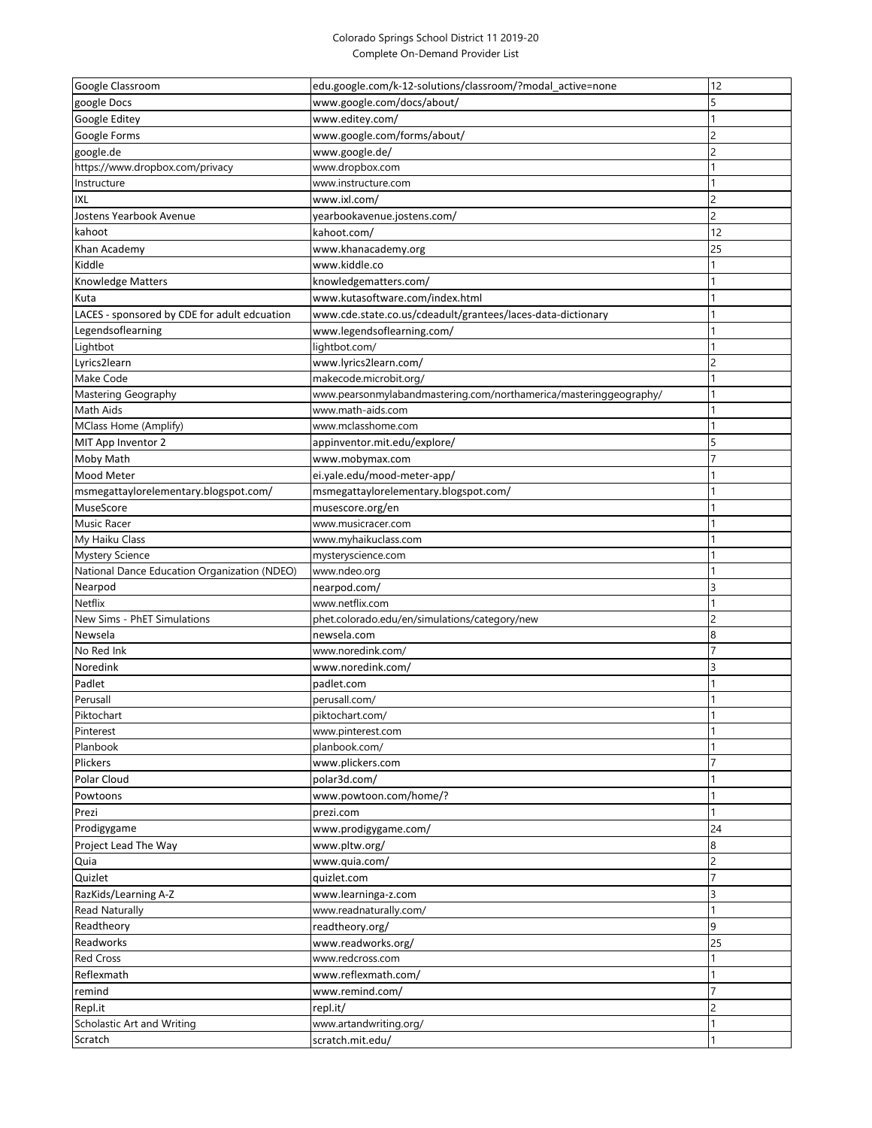## Colorado Springs School District 11 2019-20 Complete On-Demand Provider List

| Google Classroom                             | edu.google.com/k-12-solutions/classroom/?modal_active=none        | 12                  |
|----------------------------------------------|-------------------------------------------------------------------|---------------------|
| google Docs                                  | www.google.com/docs/about/                                        | 5                   |
| Google Editey                                | /www.editey.com                                                   |                     |
|                                              |                                                                   | $\overline{c}$      |
| Google Forms                                 | www.google.com/forms/about/                                       |                     |
| google.de                                    | www.google.de/                                                    | $\overline{c}$<br>1 |
| https://www.dropbox.com/privacy              | www.dropbox.com                                                   |                     |
| Instructure                                  | www.instructure.com                                               |                     |
| ixl                                          | www.ixl.com/                                                      | 2                   |
| Jostens Yearbook Avenue                      | yearbookavenue.jostens.com/                                       | $\overline{c}$      |
| kahoot                                       | kahoot.com/                                                       | 12                  |
| Khan Academy                                 | www.khanacademy.org                                               | 25                  |
| Kiddle                                       | www.kiddle.co                                                     |                     |
| Knowledge Matters                            | knowledgematters.com/                                             |                     |
| Kuta                                         | www.kutasoftware.com/index.html                                   |                     |
| LACES - sponsored by CDE for adult edcuation | www.cde.state.co.us/cdeadult/grantees/laces-data-dictionary       | 1                   |
| Legendsoflearning                            | www.legendsoflearning.com/                                        |                     |
| Lightbot                                     | lightbot.com/                                                     |                     |
| Lyrics2learn                                 | www.lyrics2learn.com/                                             | $\overline{c}$      |
| Make Code                                    | makecode.microbit.org/                                            |                     |
| Mastering Geography                          | www.pearsonmylabandmastering.com/northamerica/masteringgeography/ |                     |
| Math Aids                                    | www.math-aids.com                                                 |                     |
| MClass Home (Amplify)                        | www.mclasshome.com                                                |                     |
| MIT App Inventor 2                           | appinventor.mit.edu/explore,                                      | 5                   |
| Moby Math                                    | www.mobymax.com                                                   | 7                   |
| Mood Meter                                   | ei.yale.edu/mood-meter-app/                                       |                     |
| msmegattaylorelementary.blogspot.com/        | msmegattaylorelementary.blogspot.com/                             |                     |
| MuseScore                                    | musescore.org/en                                                  |                     |
| Music Racer                                  | www.musicracer.com                                                |                     |
| My Haiku Class                               | www.myhaikuclass.com                                              |                     |
| <b>Mystery Science</b>                       | mysteryscience.com                                                |                     |
| National Dance Education Organization (NDEO) | www.ndeo.org                                                      | 1                   |
| Nearpod                                      | nearpod.com/                                                      | 3                   |
| Netflix                                      | www.netflix.com                                                   | 1                   |
| New Sims - PhET Simulations                  | phet.colorado.edu/en/simulations/category/new                     | $\overline{c}$      |
| Newsela                                      | newsela.com                                                       | $\boldsymbol{8}$    |
| No Red Ink                                   | www.noredink.com/                                                 |                     |
| Noredink                                     | /www.noredink.com                                                 | 3                   |
| Padlet                                       | padlet.com                                                        |                     |
| Perusall                                     | perusall.com/                                                     |                     |
| Piktochart                                   | piktochart.com/                                                   |                     |
| Pinterest                                    | www.pinterest.com                                                 |                     |
| Planbook                                     | planbook.com/                                                     |                     |
| Plickers                                     | www.plickers.com                                                  | $\overline{7}$      |
| Polar Cloud                                  | polar3d.com/                                                      | 1                   |
| Powtoons                                     | www.powtoon.com/home/?                                            |                     |
| Prezi                                        |                                                                   | 1                   |
| Prodigygame                                  | prezi.com                                                         |                     |
|                                              | www.prodigygame.com/                                              | 24                  |
| Project Lead The Way                         | /www.pltw.org                                                     | 8                   |
| Quia                                         | www.quia.com/                                                     | $\overline{c}$      |
| Quizlet                                      | quizlet.com                                                       | 7                   |
| RazKids/Learning A-Z                         | www.learninga-z.com                                               | 3                   |
| Read Naturally                               | www.readnaturally.com/                                            | 1                   |
| Readtheory                                   | readtheory.org/                                                   | $\overline{9}$      |
| Readworks                                    | www.readworks.org/                                                | 25                  |
| Red Cross                                    | www.redcross.com                                                  |                     |
| Reflexmath                                   | www.reflexmath.com/                                               |                     |
| remind                                       | /www.remind.com                                                   | 7                   |
| Repl.it                                      | repl.it/                                                          | $\overline{c}$      |
| Scholastic Art and Writing                   | www.artandwriting.org/                                            |                     |
| Scratch                                      | scratch.mit.edu/                                                  | 1                   |